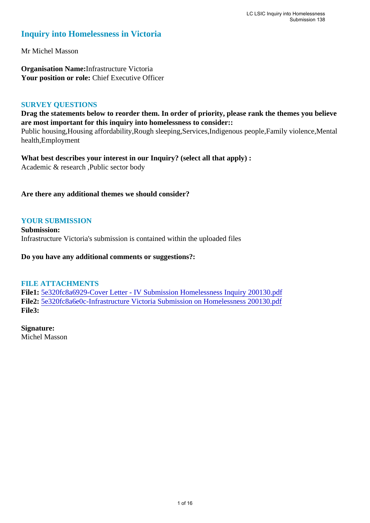### **Inquiry into Homelessness in Victoria**

Mr Michel Masson

**Organisation Name:**Infrastructure Victoria Your position or role: Chief Executive Officer

### **SURVEY QUESTIONS**

**Drag the statements below to reorder them. In order of priority, please rank the themes you believe are most important for this inquiry into homelessness to consider::** 

Public housing,Housing affordability,Rough sleeping,Services,Indigenous people,Family violence,Mental health,Employment

**What best describes your interest in our Inquiry? (select all that apply) :**  Academic & research ,Public sector body

### **Are there any additional themes we should consider?**

### **YOUR SUBMISSION**

**Submission:**  Infrastructure Victoria's submission is contained within the uploaded files

**Do you have any additional comments or suggestions?:** 

### **FILE ATTACHMENTS**

**File1:** [5e320fc8a6929-Cover Letter - IV Submission Homelessness Inquiry 200130.pdf](https://www.parliament.vic.gov.au/component/rsform/submission-view-file/6fac9450c8e7943b5fab96552fe13f7a/db2ad8c87b00aac41996187eeecbbf5a?Itemid=527) **File2:** [5e320fc8a6e0c-Infrastructure Victoria Submission on Homelessness 200130.pdf](https://www.parliament.vic.gov.au/component/rsform/submission-view-file/05407f920aaebcddb2bf5b2f6a0bae28/bdc1f9553379ac0b07004bd7c78d0243?Itemid=527) **File3:** 

**Signature:** Michel Masson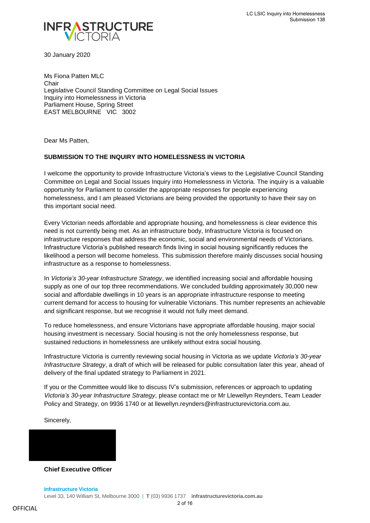

30 January 2020

Ms Fiona Patten MLC **Chair** Legislative Council Standing Committee on Legal Social Issues Inquiry into Homelessness in Victoria Parliament House, Spring Street EAST MELBOURNE VIC 3002

Dear Ms Patten,

#### **SUBMISSION TO THE INQUIRY INTO HOMELESSNESS IN VICTORIA**

I welcome the opportunity to provide Infrastructure Victoria's views to the Legislative Council Standing Committee on Legal and Social Issues Inquiry into Homelessness in Victoria. The inquiry is a valuable opportunity for Parliament to consider the appropriate responses for people experiencing homelessness, and I am pleased Victorians are being provided the opportunity to have their say on this important social need.

Every Victorian needs affordable and appropriate housing, and homelessness is clear evidence this need is not currently being met. As an infrastructure body, Infrastructure Victoria is focused on infrastructure responses that address the economic, social and environmental needs of Victorians. Infrastructure Victoria's published research finds living in social housing significantly reduces the likelihood a person will become homeless. This submission therefore mainly discusses social housing infrastructure as a response to homelessness.

In *Victoria's 30-year Infrastructure Strategy*, we identified increasing social and affordable housing supply as one of our top three recommendations. We concluded building approximately 30,000 new social and affordable dwellings in 10 years is an appropriate infrastructure response to meeting current demand for access to housing for vulnerable Victorians. This number represents an achievable and significant response, but we recognise it would not fully meet demand.

To reduce homelessness, and ensure Victorians have appropriate affordable housing, major social housing investment is necessary. Social housing is not the only homelessness response, but sustained reductions in homelessness are unlikely without extra social housing.

Infrastructure Victoria is currently reviewing social housing in Victoria as we update *Victoria's 30-year Infrastructure Strategy*, a draft of which will be released for public consultation later this year, ahead of delivery of the final updated strategy to Parliament in 2021.

If you or the Committee would like to discuss IV's submission, references or approach to updating *Victoria's 30-year Infrastructure Strategy*, please contact me or Mr Llewellyn Reynders, Team Leader Policy and Strategy, on 9936 1740 or at llewellyn.reynders@infrastructurevictoria.com.au.

Sincerely,



**Chief Executive Officer**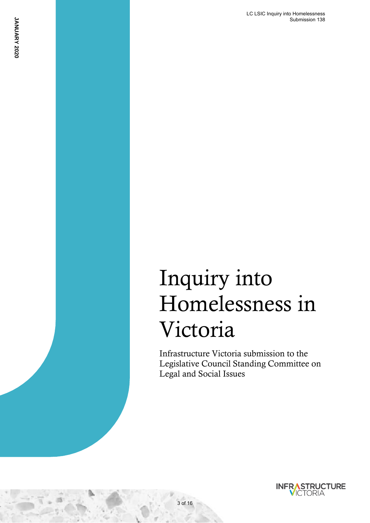# Inquiry into Homelessness in Victoria

Infrastructure Victoria submission to the Legislative Council Standing Committee on Legal and Social Issues



<sup>1</sup> Growing Victoria's OFFICIAL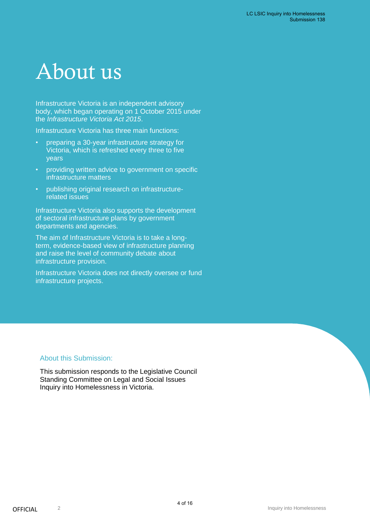# About us

Infrastructure Victoria is an independent advisory body, which began operating on 1 October 2015 under the *Infrastructure Victoria Act 2015*.

Infrastructure Victoria has three main functions:

- preparing a 30-year infrastructure strategy for Victoria, which is refreshed every three to five years
- providing written advice to government on specific infrastructure matters
- publishing original research on infrastructurerelated issues

Infrastructure Victoria also supports the development of sectoral infrastructure plans by government departments and agencies.

The aim of Infrastructure Victoria is to take a longterm, evidence-based view of infrastructure planning and raise the level of community debate about infrastructure provision.

Infrastructure Victoria does not directly oversee or fund infrastructure projects.

### About this Submission:

This submission responds to the Legislative Council Standing Committee on Legal and Social Issues Inquiry into Homelessness in Victoria.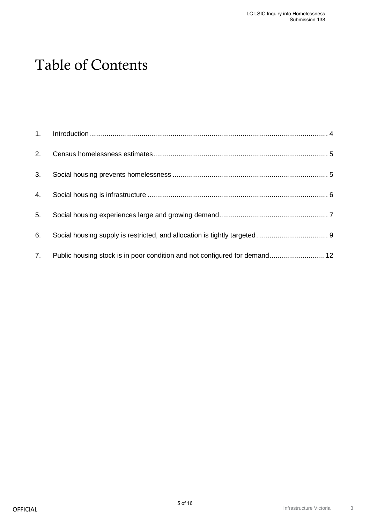# Table of Contents

| 2. |                                                                            |  |
|----|----------------------------------------------------------------------------|--|
|    |                                                                            |  |
| 3. |                                                                            |  |
| 4. |                                                                            |  |
| 5. |                                                                            |  |
| 6. |                                                                            |  |
| 7. | Public housing stock is in poor condition and not configured for demand 12 |  |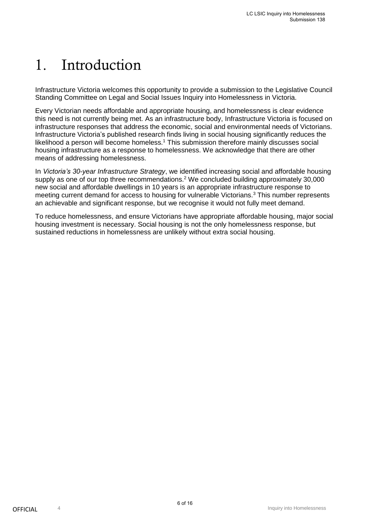# <span id="page-5-0"></span>1. Introduction

Infrastructure Victoria welcomes this opportunity to provide a submission to the Legislative Council Standing Committee on Legal and Social Issues Inquiry into Homelessness in Victoria.

Every Victorian needs affordable and appropriate housing, and homelessness is clear evidence this need is not currently being met. As an infrastructure body, Infrastructure Victoria is focused on infrastructure responses that address the economic, social and environmental needs of Victorians. Infrastructure Victoria's published research finds living in social housing significantly reduces the likelihood a person will become homeless.<sup>1</sup> This submission therefore mainly discusses social housing infrastructure as a response to homelessness. We acknowledge that there are other means of addressing homelessness.

In *Victoria's 30-year Infrastructure Strategy*, we identified increasing social and affordable housing supply as one of our top three recommendations.<sup>2</sup> We concluded building approximately 30,000 new social and affordable dwellings in 10 years is an appropriate infrastructure response to meeting current demand for access to housing for vulnerable Victorians.<sup>3</sup> This number represents an achievable and significant response, but we recognise it would not fully meet demand.

To reduce homelessness, and ensure Victorians have appropriate affordable housing, major social housing investment is necessary. Social housing is not the only homelessness response, but sustained reductions in homelessness are unlikely without extra social housing.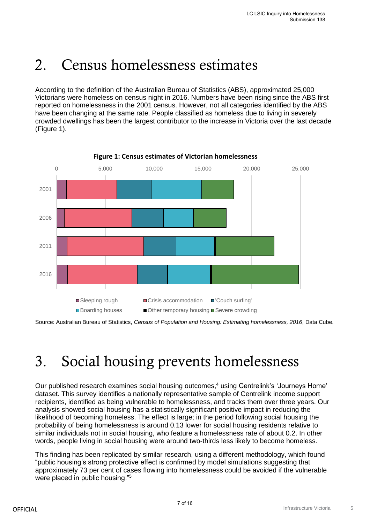## <span id="page-6-0"></span>2. Census homelessness estimates

According to the definition of the Australian Bureau of Statistics (ABS), approximated 25,000 Victorians were homeless on census night in 2016. Numbers have been rising since the ABS first reported on homelessness in the 2001 census. However, not all categories identified by the ABS have been changing at the same rate. People classified as homeless due to living in severely crowded dwellings has been the largest contributor to the increase in Victoria over the last decade (Figure 1).



**Figure 1: Census estimates of Victorian homelessness**

Source: Australian Bureau of Statistics, *Census of Population and Housing: Estimating homelessness, 2016*, Data Cube.

# <span id="page-6-1"></span>3. Social housing prevents homelessness

Our published research examines social housing outcomes,<sup>4</sup> using Centrelink's 'Journeys Home' dataset. This survey identifies a nationally representative sample of Centrelink income support recipients, identified as being vulnerable to homelessness, and tracks them over three years. Our analysis showed social housing has a statistically significant positive impact in reducing the likelihood of becoming homeless. The effect is large; in the period following social housing the probability of being homelessness is around 0.13 lower for social housing residents relative to similar individuals not in social housing, who feature a homelessness rate of about 0.2. In other words, people living in social housing were around two-thirds less likely to become homeless.

This finding has been replicated by similar research, using a different methodology, which found "public housing's strong protective effect is confirmed by model simulations suggesting that approximately 73 per cent of cases flowing into homelessness could be avoided if the vulnerable were placed in public housing."<sup>5</sup>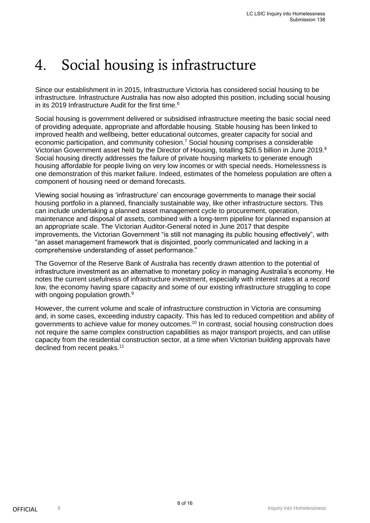## <span id="page-7-0"></span>4. Social housing is infrastructure

Since our establishment in in 2015, Infrastructure Victoria has considered social housing to be infrastructure. Infrastructure Australia has now also adopted this position, including social housing in its 2019 Infrastructure Audit for the first time.<sup>6</sup>

Social housing is government delivered or subsidised infrastructure meeting the basic social need of providing adequate, appropriate and affordable housing. Stable housing has been linked to improved health and wellbeing, better educational outcomes, greater capacity for social and economic participation, and community cohesion.<sup>7</sup> Social housing comprises a considerable Victorian Government asset held by the Director of Housing, totalling \$26.5 billion in June 2019.<sup>8</sup> Social housing directly addresses the failure of private housing markets to generate enough housing affordable for people living on very low incomes or with special needs. Homelessness is one demonstration of this market failure. Indeed, estimates of the homeless population are often a component of housing need or demand forecasts.

Viewing social housing as 'infrastructure' can encourage governments to manage their social housing portfolio in a planned, financially sustainable way, like other infrastructure sectors. This can include undertaking a planned asset management cycle to procurement, operation, maintenance and disposal of assets, combined with a long-term pipeline for planned expansion at an appropriate scale. The Victorian Auditor-General noted in June 2017 that despite improvements, the Victorian Government "is still not managing its public housing effectively", with "an asset management framework that is disjointed, poorly communicated and lacking in a comprehensive understanding of asset performance."

The Governor of the Reserve Bank of Australia has recently drawn attention to the potential of infrastructure investment as an alternative to monetary policy in managing Australia's economy. He notes the current usefulness of infrastructure investment, especially with interest rates at a record low, the economy having spare capacity and some of our existing infrastructure struggling to cope with ongoing population growth.<sup>9</sup>

However, the current volume and scale of infrastructure construction in Victoria are consuming and, in some cases, exceeding industry capacity. This has led to reduced competition and ability of governments to achieve value for money outcomes.<sup>10</sup> In contrast, social housing construction does not require the same complex construction capabilities as major transport projects, and can utilise capacity from the residential construction sector, at a time when Victorian building approvals have declined from recent peaks.<sup>11</sup>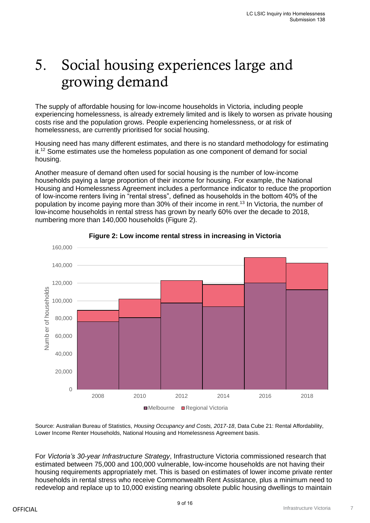## <span id="page-8-0"></span>5. Social housing experiences large and growing demand

The supply of affordable housing for low-income households in Victoria, including people experiencing homelessness, is already extremely limited and is likely to worsen as private housing costs rise and the population grows. People experiencing homelessness, or at risk of homelessness, are currently prioritised for social housing.

Housing need has many different estimates, and there is no standard methodology for estimating it.<sup>12</sup> Some estimates use the homeless population as one component of demand for social housing.

Another measure of demand often used for social housing is the number of low-income households paying a large proportion of their income for housing. For example, the National Housing and Homelessness Agreement includes a performance indicator to reduce the proportion of low-income renters living in "rental stress", defined as households in the bottom 40% of the population by income paying more than 30% of their income in rent.<sup>13</sup> In Victoria, the number of low-income households in rental stress has grown by nearly 60% over the decade to 2018, numbering more than 140,000 households (Figure 2).



### **Figure 2: Low income rental stress in increasing in Victoria**

Source: Australian Bureau of Statistics, *Housing Occupancy and Costs, 2017-18*, Data Cube 21: Rental Affordability, Lower Income Renter Households, National Housing and Homelessness Agreement basis.

For *Victoria's 30-year Infrastructure Strategy*, Infrastructure Victoria commissioned research that estimated between 75,000 and 100,000 vulnerable, low-income households are not having their housing requirements appropriately met. This is based on estimates of lower income private renter households in rental stress who receive Commonwealth Rent Assistance, plus a minimum need to redevelop and replace up to 10,000 existing nearing obsolete public housing dwellings to maintain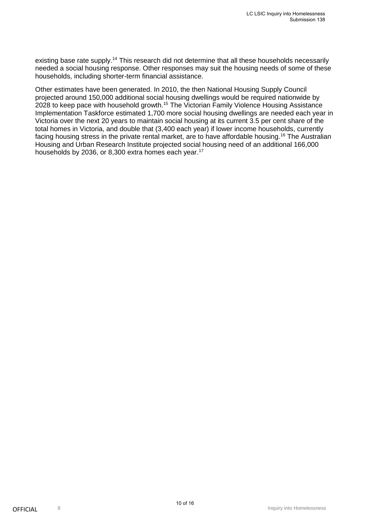existing base rate supply.<sup>14</sup> This research did not determine that all these households necessarily needed a social housing response. Other responses may suit the housing needs of some of these households, including shorter-term financial assistance.

Other estimates have been generated. In 2010, the then National Housing Supply Council projected around 150,000 additional social housing dwellings would be required nationwide by 2028 to keep pace with household growth.<sup>15</sup> The Victorian Family Violence Housing Assistance Implementation Taskforce estimated 1,700 more social housing dwellings are needed each year in Victoria over the next 20 years to maintain social housing at its current 3.5 per cent share of the total homes in Victoria, and double that (3,400 each year) if lower income households, currently facing housing stress in the private rental market, are to have affordable housing.<sup>16</sup> The Australian Housing and Urban Research Institute projected social housing need of an additional 166,000 households by 2036, or 8,300 extra homes each year.<sup>17</sup>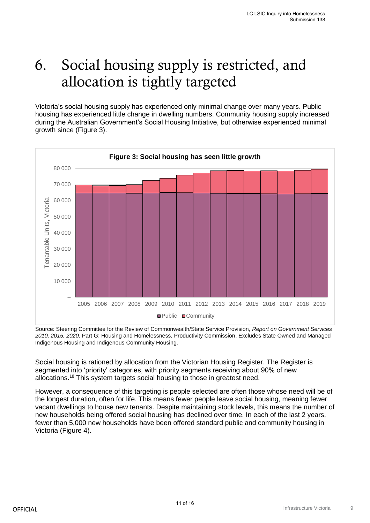# <span id="page-10-0"></span>6. Social housing supply is restricted, and allocation is tightly targeted

Victoria's social housing supply has experienced only minimal change over many years. Public housing has experienced little change in dwelling numbers. Community housing supply increased during the Australian Government's Social Housing Initiative, but otherwise experienced minimal growth since (Figure 3).



Source: Steering Committee for the Review of Commonwealth/State Service Provision, *Report on Government Services 2010, 2015, 2020*, Part G: Housing and Homelessness, Productivity Commission. Excludes State Owned and Managed Indigenous Housing and Indigenous Community Housing.

Social housing is rationed by allocation from the Victorian Housing Register. The Register is segmented into 'priority' categories, with priority segments receiving about 90% of new allocations.<sup>18</sup> This system targets social housing to those in greatest need.

However, a consequence of this targeting is people selected are often those whose need will be of the longest duration, often for life. This means fewer people leave social housing, meaning fewer vacant dwellings to house new tenants. Despite maintaining stock levels, this means the number of new households being offered social housing has declined over time. In each of the last 2 years, fewer than 5,000 new households have been offered standard public and community housing in Victoria (Figure 4).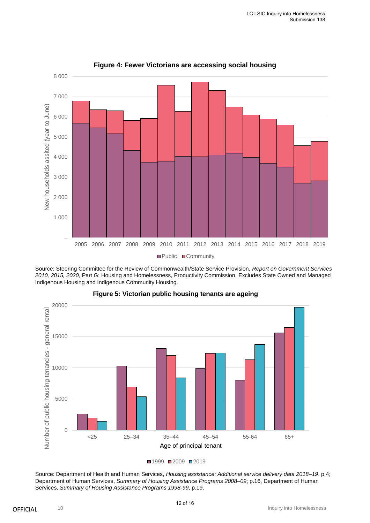

**Figure 4: Fewer Victorians are accessing social housing**

Source: Steering Committee for the Review of Commonwealth/State Service Provision, *Report on Government Services 2010, 2015, 2020*, Part G: Housing and Homelessness, Productivity Commission. Excludes State Owned and Managed Indigenous Housing and Indigenous Community Housing.



#### **Figure 5: Victorian public housing tenants are ageing**

Source: Department of Health and Human Services, *Housing assistance: Additional service delivery data 2018–19*, p.4; Department of Human Services, *Summary of Housing Assistance Programs 2008–09*; p.16, Department of Human Services, *Summary of Housing Assistance Programs 1998-99*, p.19.

<sup>■1999 ■2009 ■2019</sup>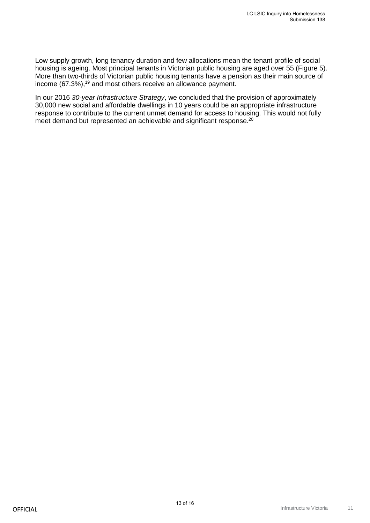Low supply growth, long tenancy duration and few allocations mean the tenant profile of social housing is ageing. Most principal tenants in Victorian public housing are aged over 55 (Figure 5). More than two-thirds of Victorian public housing tenants have a pension as their main source of income (67.3%),<sup>19</sup> and most others receive an allowance payment.

In our 2016 *30-year Infrastructure Strategy*, we concluded that the provision of approximately 30,000 new social and affordable dwellings in 10 years could be an appropriate infrastructure response to contribute to the current unmet demand for access to housing. This would not fully meet demand but represented an achievable and significant response.<sup>20</sup>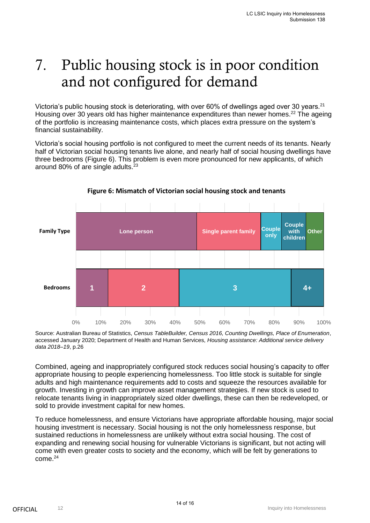## <span id="page-13-0"></span>7. Public housing stock is in poor condition and not configured for demand

Victoria's public housing stock is deteriorating, with over 60% of dwellings aged over 30 years.<sup>21</sup> Housing over 30 years old has higher maintenance expenditures than newer homes.<sup>22</sup> The ageing of the portfolio is increasing maintenance costs, which places extra pressure on the system's financial sustainability.

Victoria's social housing portfolio is not configured to meet the current needs of its tenants. Nearly half of Victorian social housing tenants live alone, and nearly half of social housing dwellings have three bedrooms (Figure 6). This problem is even more pronounced for new applicants, of which around 80% of are single adults.<sup>23</sup>



### **Figure 6: Mismatch of Victorian social housing stock and tenants**

Source: Australian Bureau of Statistics, *Census TableBuilder, Census 2016, Counting Dwellings, Place of Enumeration*, accessed January 2020; Department of Health and Human Services, *Housing assistance: Additional service delivery data 2018–19*, p.26

Combined, ageing and inappropriately configured stock reduces social housing's capacity to offer appropriate housing to people experiencing homelessness. Too little stock is suitable for single adults and high maintenance requirements add to costs and squeeze the resources available for growth. Investing in growth can improve asset management strategies. If new stock is used to relocate tenants living in inappropriately sized older dwellings, these can then be redeveloped, or sold to provide investment capital for new homes.

To reduce homelessness, and ensure Victorians have appropriate affordable housing, major social housing investment is necessary. Social housing is not the only homelessness response, but sustained reductions in homelessness are unlikely without extra social housing. The cost of expanding and renewing social housing for vulnerable Victorians is significant, but not acting will come with even greater costs to society and the economy, which will be felt by generations to come.<sup>24</sup>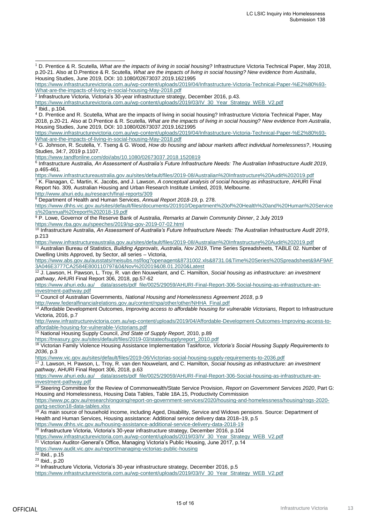<sup>4</sup> D. Prentice and R. Scutella, What are the impacts of living in social housing? Infrastructure Victoria Technical Paper, May 2018, p.20-21. Also at D.Prentice & R. Scutella, *What are the impacts of living in social housing? New evidence from Australia*, Housing Studies, June 2019, DOI: 10.1080/02673037.2019.1621995

[https://www.infrastructurevictoria.com.au/wp-content/uploads/2019/04/Infrastructure-Victoria-Technical-Paper-%E2%80%93-](https://www.infrastructurevictoria.com.au/wp-content/uploads/2019/04/Infrastructure-Victoria-Technical-Paper-%E2%80%93-What-are-the-impacts-of-living-in-social-housing-May-2018.pdf) [What-are-the-impacts-of-living-in-social-housing-May-2018.pdf](https://www.infrastructurevictoria.com.au/wp-content/uploads/2019/04/Infrastructure-Victoria-Technical-Paper-%E2%80%93-What-are-the-impacts-of-living-in-social-housing-May-2018.pdf)

<https://www.tandfonline.com/doi/abs/10.1080/02673037.2018.1520819> 6 Infrastructure Australia, *An Assessment of Australia's Future Infrastructure Needs: The Australian Infrastructure Audit 2019*, p.465-461.

<https://www.infrastructureaustralia.gov.au/sites/default/files/2019-08/Australian%20Infrastructure%20Audit%202019.pdf> <sup>7</sup> K. Flanagan, C. Martin, K. Jacobs, and J. Lawson, *A conceptual analysis of social housing as infrastructure*, AHURI Final Report No. 309, Australian Housing and Urban Research Institute Limited, 2019, Melbourne.

<http://www.ahuri.edu.au/research/final-reports/309>

<sup>8</sup> Department of Health and Human Services, *Annual Report 2018-19*, p. 278.

[https://www.dhhs.vic.gov.au/sites/default/files/documents/201910/Department%20of%20Health%20and%20Human%20Service](https://www.dhhs.vic.gov.au/sites/default/files/documents/201910/Department%20of%20Health%20and%20Human%20Services%20annual%20report%202018-19.pdf) [s%20annual%20report%202018-19.pdf](https://www.dhhs.vic.gov.au/sites/default/files/documents/201910/Department%20of%20Health%20and%20Human%20Services%20annual%20report%202018-19.pdf)

<sup>9</sup> P. Lowe, Governor of the Reserve Bank of Australia, *Remarks at Darwin Community Dinner*, 2 July 2019 <https://www.rba.gov.au/speeches/2019/sp-gov-2019-07-02.html>

<sup>10</sup> Infrastructure Australia, *An Assessment of Australia's Future Infrastructure Needs: The Australian Infrastructure Audit 2019*, p.213

<https://www.infrastructureaustralia.gov.au/sites/default/files/2019-08/Australian%20Infrastructure%20Audit%202019.pdf> <sup>11</sup> Australian Bureau of Statistics, *Building Approvals, Australia, Nov 2019*, Time Series Spreadsheets, TABLE 02. Number of Dwelling Units Approved, by Sector, all series – Victoria,

[https://www.abs.gov.au/ausstats/meisubs.nsf/log?openagent&8731002.xls&8731.0&Time%20Series%20Spreadsheet&9AF9AF](https://www.abs.gov.au/ausstats/meisubs.nsf/log?openagent&8731002.xls&8731.0&Time%20Series%20Spreadsheet&9AF9AF3A046E3777CA2584E800110797&0&Nov%202019&08.01.2020&Latest) [3A046E3777CA2584E800110797&0&Nov%202019&08.01.2020&Latest](https://www.abs.gov.au/ausstats/meisubs.nsf/log?openagent&8731002.xls&8731.0&Time%20Series%20Spreadsheet&9AF9AF3A046E3777CA2584E800110797&0&Nov%202019&08.01.2020&Latest)

<sup>12</sup> J. Lawson, H. Pawson, L. Troy, R. van den Nouwelant, and C. Hamilton, *Social housing as infrastructure: an investment pathway*, AHURI Final Report 306, 2018, pp.57-62

[https://www.ahuri.edu.au/\\_\\_data/assets/pdf\\_file/0025/29059/AHURI-Final-Report-306-Social-housing-as-infrastructure-an](https://www.ahuri.edu.au/__data/assets/pdf_file/0025/29059/AHURI-Final-Report-306-Social-housing-as-infrastructure-an-investment-pathway.pdf)[investment-pathway.pdf](https://www.ahuri.edu.au/__data/assets/pdf_file/0025/29059/AHURI-Final-Report-306-Social-housing-as-infrastructure-an-investment-pathway.pdf)

<sup>13</sup> Council of Australian Governments, *National Housing and Homelessness Agreement 2018*, p.9

[http://www.federalfinancialrelations.gov.au/content/npa/other/other/NHHA\\_Final.pdf](http://www.federalfinancialrelations.gov.au/content/npa/other/other/NHHA_Final.pdf)

<sup>14</sup> Affordable Development Outcomes, *Improving access to affordable housing for vulnerable Victorians*, Report to Infrastructure Victoria, 2016, p.7

[http://www.infrastructurevictoria.com.au/wp-content/uploads/2019/04/Affordable-Development-Outcomes-Improving-access-to](http://www.infrastructurevictoria.com.au/wp-content/uploads/2019/04/Affordable-Development-Outcomes-Improving-access-to-affordable-housing-for-vulnerable-Victorians.pdf)[affordable-housing-for-vulnerable-Victorians.pdf](http://www.infrastructurevictoria.com.au/wp-content/uploads/2019/04/Affordable-Development-Outcomes-Improving-access-to-affordable-housing-for-vulnerable-Victorians.pdf)

<sup>15</sup> National Housing Supply Council, *2nd State of Supply Report*, 2010, p.89

[https://treasury.gov.au/sites/default/files/2019-03/stateofsupplyreport\\_2010.pdf](https://treasury.gov.au/sites/default/files/2019-03/stateofsupplyreport_2010.pdf) <sup>16</sup> Victorian Family Violence Housing Assistance Implementation Taskforce, *Victoria's Social Housing Supply Requirements to 2036*, p.3

<https://www.vic.gov.au/sites/default/files/2019-06/Victorias-social-housing-supply-requirements-to-2036.pdf>

<sup>17</sup> J. Lawson, H. Pawson, L. Troy, R. van den Nouwelant, and C. Hamilton, *Social housing as infrastructure: an investment pathway*, AHURI Final Report 306, 2018, p.63

[https://www.ahuri.edu.au/\\_\\_data/assets/pdf\\_file/0025/29059/AHURI-Final-Report-306-Social-housing-as-infrastructure-an](https://www.ahuri.edu.au/__data/assets/pdf_file/0025/29059/AHURI-Final-Report-306-Social-housing-as-infrastructure-an-investment-pathway.pdf)[investment-pathway.pdf](https://www.ahuri.edu.au/__data/assets/pdf_file/0025/29059/AHURI-Final-Report-306-Social-housing-as-infrastructure-an-investment-pathway.pdf)

<sup>18</sup> Steering Committee for the Review of Commonwealth/State Service Provision, *Report on Government Services 2020*, Part G: Housing and Homelessness, Housing Data Tables, Table 18A.15, Productivity Commission

[https://www.pc.gov.au/research/ongoing/report-on-government-services/2020/housing-and-homelessness/housing/rogs-2020](https://www.pc.gov.au/research/ongoing/report-on-government-services/2020/housing-and-homelessness/housing/rogs-2020-partg-section18-data-tables.xlsx) [partg-section18-data-tables.xlsx](https://www.pc.gov.au/research/ongoing/report-on-government-services/2020/housing-and-homelessness/housing/rogs-2020-partg-section18-data-tables.xlsx)

19 As main source of household income, including Aged, Disability, Service and Widows pensions. Source: Department of Health and Human Services, Housing assistance: Additional service delivery data 2018–19, p.5

<https://www.dhhs.vic.gov.au/housing-assistance-additional-service-delivery-data-2018-19>

<sup>20</sup> Infrastructure Victoria, Victoria's 30-year infrastructure strategy, December 2016, p.104

[https://www.infrastructurevictoria.com.au/wp-content/uploads/2019/03/IV\\_30\\_Year\\_Strategy\\_WEB\\_V2.pdf](https://www.infrastructurevictoria.com.au/wp-content/uploads/2019/03/IV_30_Year_Strategy_WEB_V2.pdf)

<sup>21</sup> Victorian Auditor-General's Office, Managing Victoria's Public Housing, June 2017, p.14

<https://www.audit.vic.gov.au/report/managing-victorias-public-housing>

<sup>22</sup> Ibid., p.15

<sup>23</sup> Ibid., p.20

<sup>24</sup> Infrastructure Victoria, Victoria's 30-year infrastructure strategy, December 2016, p.5

[https://www.infrastructurevictoria.com.au/wp-content/uploads/2019/03/IV\\_30\\_Year\\_Strategy\\_WEB\\_V2.pdf](https://www.infrastructurevictoria.com.au/wp-content/uploads/2019/03/IV_30_Year_Strategy_WEB_V2.pdf)

<sup>1</sup> D. Prentice & R. Scutella, *What are the impacts of living in social housing?* Infrastructure Victoria Technical Paper, May 2018, p.20-21. Also at D.Prentice & R. Scutella, *What are the impacts of living in social housing? New evidence from Australia*, Housing Studies, June 2019, DOI: 10.1080/02673037.2019.1621995 j

[https://www.infrastructurevictoria.com.au/wp-content/uploads/2019/04/Infrastructure-Victoria-Technical-Paper-%E2%80%93-](https://www.infrastructurevictoria.com.au/wp-content/uploads/2019/04/Infrastructure-Victoria-Technical-Paper-%E2%80%93-What-are-the-impacts-of-living-in-social-housing-May-2018.pdf) [What-are-the-impacts-of-living-in-social-housing-May-2018.pdf](https://www.infrastructurevictoria.com.au/wp-content/uploads/2019/04/Infrastructure-Victoria-Technical-Paper-%E2%80%93-What-are-the-impacts-of-living-in-social-housing-May-2018.pdf)

<sup>2</sup> Infrastructure Victoria, Victoria's 30-year infrastructure strategy, December 2016, p.43.

[https://www.infrastructurevictoria.com.au/wp-content/uploads/2019/03/IV\\_30\\_Year\\_Strategy\\_WEB\\_V2.pdf](https://www.infrastructurevictoria.com.au/wp-content/uploads/2019/03/IV_30_Year_Strategy_WEB_V2.pdf)

<sup>3</sup> Ibid., p.104.

<sup>5</sup> G. Johnson, R. Scutella, Y. Tseng & G. Wood, *How do housing and labour markets affect individual homelessness?*, Housing Studies, 34:7, 2019 p.1107.